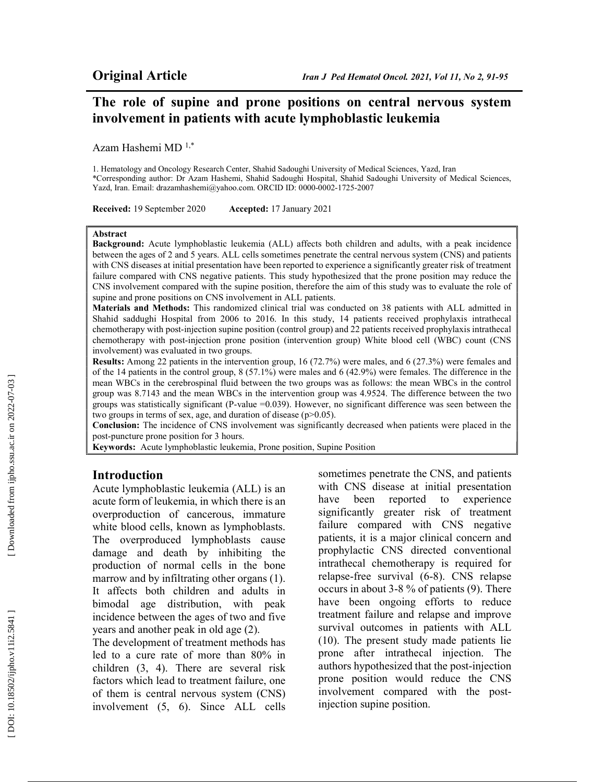# The role of supine and prone positions on central nervous system involvement in patients with acute lymphoblastic leukemia

Azam Hashemi MD 1,\*

1. Hematology and Oncology Research Center, Shahid Sadoughi University of Medical Sciences, Yazd, Iran \*Corresponding author: Dr Azam Hashemi, Shahid Sadoughi Hospital, Shahid Sadoughi University of Medical Sciences, Yazd, Iran. Email: drazamhashemi@yahoo.com. ORCID ID: 0000-0002-1725-2007

Received: 19 September 2020 Accepted: 17 January 2021

#### Abstract

Background: Acute lymphoblastic leukemia (ALL) affects both children and adults, with a peak incidence between the ages of 2 and 5 years. ALL cells sometimes penetrate the central nervous system (CNS) and patients with CNS diseases at initial presentation have been reported to experience a significantly greater risk of treatment failure compared with CNS negative patients. This study hypothesized that the prone position may reduce the CNS involvement compared with the supine position, therefore the aim of this study was to evaluate the role of supine and prone positions on CNS involvement in ALL patients.

Materials and Methods: This randomized clinical trial was conducted on 38 patients with ALL admitted in Shahid saddughi Hospital from 2006 to 2016. In this study, 14 patients received prophylaxis intrathecal chemotherapy with post-injection supine position (control group) and 22 patients received prophylaxis intrathecal chemotherapy with post-injection prone position (intervention group) White blood cell (WBC) count (CNS involvement) was evaluated in two groups.

Results: Among 22 patients in the intervention group, 16 (72.7%) were males, and 6 (27.3%) were females and of the 14 patients in the control group, 8 (57.1%) were males and 6 (42.9%) were females. The difference in the mean WBCs in the cerebrospinal fluid between the two groups was as follows: the mean WBCs in the control group was 8.7143 and the mean WBCs in the intervention group was 4.9524. The difference between the two groups was statistically significant (P-value =0.039). However, no significant difference was seen between the two groups in terms of sex, age, and duration of disease  $(p>0.05)$ .

Conclusion: The incidence of CNS involvement was significantly decreased when patients were placed in the post-puncture prone position for 3 hours.

Keywords: Acute lymphoblastic leukemia, Prone position, Supine Position

#### Introduction

Acute lymphoblastic leukemia (ALL) is an acute form of leukemia, in which there is an overproduction of cancerous, immature white blood cells, known as lymphoblasts. The overproduced lymphoblasts cause damage and death by inhibiting the production of normal cells in the bone marrow and by infiltrating other organs (1). It affects both children and adults in bimodal age distribution, with peak incidence between the ages of two and five years and another peak in old age (2).

The development of treatment methods has led to a cure rate of more than 80% in children (3, 4). There are several risk factors which lead to treatment failure, one of them is central nervous system (CNS) involvement (5, 6). Since ALL cells

sometimes penetrate the CNS, and patients with CNS disease at initial presentation have been reported to experience significantly greater risk of treatment failure compared with CNS negative patients, it is a major clinical concern and prophylactic CNS directed conventional intrathecal chemotherapy is required for relapse-free survival (6-8). CNS relapse occurs in about 3-8 % of patients (9). There have been ongoing efforts to reduce treatment failure and relapse and improve survival outcomes in patients with ALL (10). The present study made patients lie prone after intrathecal injection. The authors hypothesized that the post-injection prone position would reduce the CNS involvement compared with the postinjection supine position.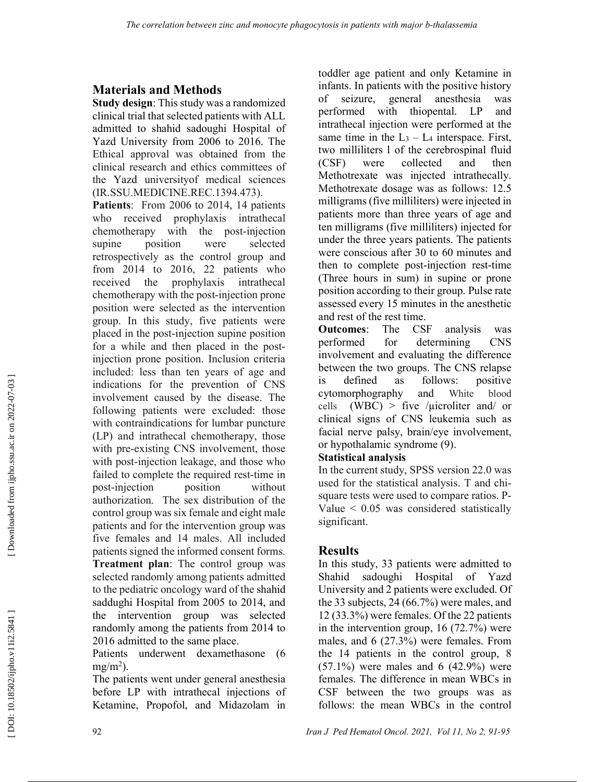## Materials and Methods

Study design: This study was a randomized clinical trial that selected patients with ALL admitted to shahid sadoughi Hospital of Yazd University from 2006 to 2016. The Ethical approval was obtained from the clinical research and ethics committees of the Yazd universityof medical sciences (IR.SSU.MEDICINE.REC.1394.473).

Patients: From 2006 to 2014, 14 patients who received prophylaxis intrathecal chemotherapy with the post-injection supine position were selected retrospectively as the control group and from 2014 to 2016, 22 patients who received the prophylaxis intrathecal chemotherapy with the post-injection prone position were selected as the intervention group. In this study, five patients were placed in the post-injection supine position for a while and then placed in the postinjection prone position. Inclusion criteria included: less than ten years of age and indications for the prevention of CNS involvement caused by the disease. The following patients were excluded: those with contraindications for lumbar puncture (LP) and intrathecal chemotherapy, those with pre-existing CNS involvement, those with post-injection leakage, and those who failed to complete the required rest-time in post-injection position without authorization. The sex distribution of the control group was six female and eight male patients and for the intervention group was five females and 14 males. All included patients signed the informed consent forms. Treatment plan: The control group was selected randomly among patients admitted to the pediatric oncology ward of the shahid saddughi Hospital from 2005 to 2014, and the intervention group was selected randomly among the patients from 2014 to 2016 admitted to the same place.

Patients underwent dexamethasone (6  $mg/m<sup>2</sup>$ ).

The patients went under general anesthesia before LP with intrathecal injections of Ketamine, Propofol, and Midazolam in

toddler age patient and only Ketamine in infants. In patients with the positive history of seizure, general anesthesia was performed with thiopental. LP and intrathecal injection were performed at the same time in the  $L_3 - L_4$  interspace. First, two milliliters l of the cerebrospinal fluid (CSF) were collected and then Methotrexate was injected intrathecally. Methotrexate dosage was as follows: 12.5 milligrams (five milliliters) were injected in patients more than three years of age and ten milligrams (five milliliters) injected for under the three years patients. The patients were conscious after 30 to 60 minutes and then to complete post-injection rest-time (Three hours in sum) in supine or prone position according to their group. Pulse rate assessed every 15 minutes in the anesthetic and rest of the rest time.

Outcomes: The CSF analysis was performed for determining CNS involvement and evaluating the difference between the two groups. The CNS relapse is defined as follows: positive cytomorphography and White blood cells  $(WBC)$  > five /*µicroliter and/ or* clinical signs of CNS leukemia such as facial nerve palsy, brain/eye involvement, or hypothalamic syndrome (9).

### Statistical analysis

In the current study, SPSS version 22.0 was used for the statistical analysis. T and chisquare tests were used to compare ratios. P-Value < 0.05 was considered statistically significant.

## **Results**

In this study, 33 patients were admitted to Shahid sadoughi Hospital of Yazd University and 2 patients were excluded. Of the 33 subjects, 24 (66.7%) were males, and 12 (33.3%) were females. Of the 22 patients in the intervention group, 16 (72.7%) were males, and 6 (27.3%) were females. From the 14 patients in the control group, 8  $(57.1\%)$  were males and 6  $(42.9\%)$  were females. The difference in mean WBCs in CSF between the two groups was as follows: the mean WBCs in the control

DOI: 10.18502/ijpho.v11i2.5841]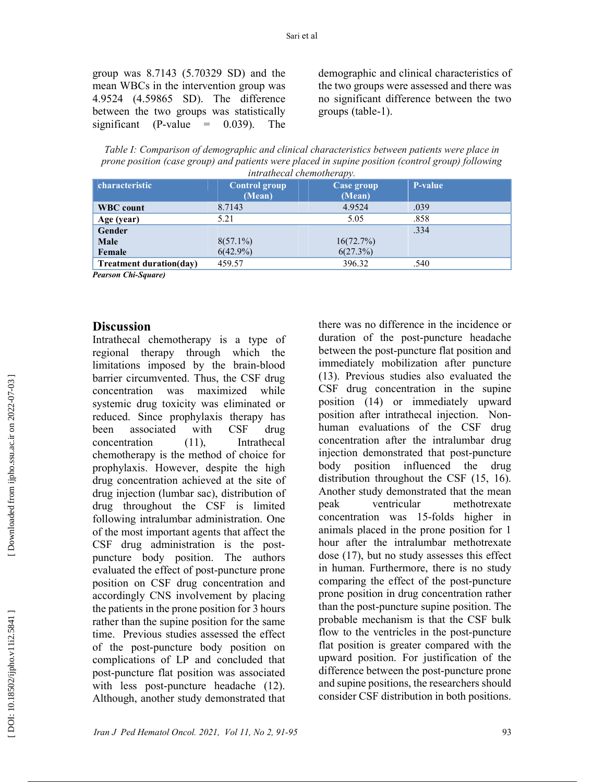demographic and clinical characteristics of the two groups were assessed and there was no significant difference between the two groups (table-1).

Table I: Comparison of demographic and clinical characteristics between patients were place in prone position (case group) and patients were placed in supine position (control group) following intrathecal chemotheramy

| characteristic                 | <b>Control group</b><br>(Mean) | Case group<br>(Mean) | <b>P-value</b> |
|--------------------------------|--------------------------------|----------------------|----------------|
| <b>WBC</b> count               | 8.7143                         | 4.9524               | .039           |
| Age (year)                     | 5.21                           | 5.05                 | .858           |
| Gender                         |                                |                      | .334           |
| <b>Male</b>                    | $8(57.1\%)$                    | 16(72.7%)            |                |
| Female                         | $6(42.9\%)$                    | 6(27.3%)             |                |
| <b>Treatment duration(day)</b> | 459.57                         | 396.32               | .540           |

Pearson Chi-Square)

#### **Discussion**

Intrathecal chemotherapy is a type of regional therapy through which the limitations imposed by the brain-blood barrier circumvented. Thus, the CSF drug concentration was maximized while systemic drug toxicity was eliminated or reduced. Since prophylaxis therapy has been associated with CSF drug concentration (11), Intrathecal chemotherapy is the method of choice for prophylaxis. However, despite the high drug concentration achieved at the site of drug injection (lumbar sac), distribution of drug throughout the CSF is limited following intralumbar administration. One of the most important agents that affect the CSF drug administration is the postpuncture body position. The authors evaluated the effect of post-puncture prone position on CSF drug concentration and accordingly CNS involvement by placing the patients in the prone position for 3 hours rather than the supine position for the same time. Previous studies assessed the effect of the post-puncture body position on complications of LP and concluded that post-puncture flat position was associated with less post-puncture headache (12). Although, another study demonstrated that

there was no difference in the incidence or duration of the post-puncture headache between the post-puncture flat position and immediately mobilization after puncture (13). Previous studies also evaluated the CSF drug concentration in the supine position (14) or immediately upward position after intrathecal injection. Nonhuman evaluations of the CSF drug concentration after the intralumbar drug injection demonstrated that post-puncture body position influenced the drug distribution throughout the CSF (15, 16). Another study demonstrated that the mean peak ventricular methotrexate concentration was 15-folds higher in animals placed in the prone position for 1 hour after the intralumbar methotrexate dose (17), but no study assesses this effect in human. Furthermore, there is no study comparing the effect of the post-puncture prone position in drug concentration rather than the post-puncture supine position. The probable mechanism is that the CSF bulk flow to the ventricles in the post-puncture flat position is greater compared with the upward position. For justification of the difference between the post-puncture prone and supine positions, the researchers should consider CSF distribution in both positions.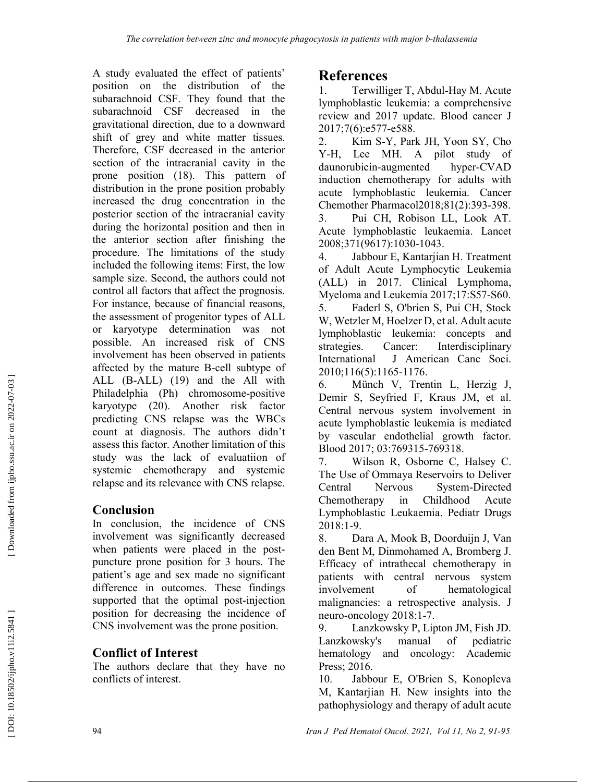A study evaluated the effect of patients' position on the distribution of the subarachnoid CSF. They found that the subarachnoid CSF decreased in the gravitational direction, due to a downward shift of grey and white matter tissues. Therefore, CSF decreased in the anterior section of the intracranial cavity in the prone position (18). This pattern of distribution in the prone position probably increased the drug concentration in the posterior section of the intracranial cavity during the horizontal position and then in the anterior section after finishing the procedure. The limitations of the study included the following items: First, the low sample size. Second, the authors could not control all factors that affect the prognosis. For instance, because of financial reasons, the assessment of progenitor types of ALL or karyotype determination was not possible. An increased risk of CNS involvement has been observed in patients affected by the mature B-cell subtype of ALL (B-ALL) (19) and the All with Philadelphia (Ph) chromosome-positive karyotype (20). Another risk factor predicting CNS relapse was the WBCs count at diagnosis. The authors didn't assess this factor. Another limitation of this study was the lack of evaluatiion of systemic chemotherapy and systemic relapse and its relevance with CNS relapse.

# Conclusion

In conclusion, the incidence of CNS involvement was significantly decreased when patients were placed in the postpuncture prone position for 3 hours. The patient's age and sex made no significant difference in outcomes. These findings supported that the optimal post-injection position for decreasing the incidence of CNS involvement was the prone position.

## Conflict of Interest

The authors declare that they have no conflicts of interest.

# References

1. Terwilliger T, Abdul-Hay M. Acute lymphoblastic leukemia: a comprehensive review and 2017 update. Blood cancer J 2017;7(6):e577-e588.

2. Kim S-Y, Park JH, Yoon SY, Cho Y-H, Lee MH. A pilot study of daunorubicin-augmented hyper-CVAD daunorubicin-augmented induction chemotherapy for adults with acute lymphoblastic leukemia. Cancer Chemother Pharmacol2018;81(2):393-398.

3. Pui CH, Robison LL, Look AT. Acute lymphoblastic leukaemia. Lancet 2008;371(9617):1030-1043.

4. Jabbour E, Kantarjian H. Treatment of Adult Acute Lymphocytic Leukemia (ALL) in 2017. Clinical Lymphoma, Myeloma and Leukemia 2017;17:S57-S60. 5. Faderl S, O'brien S, Pui CH, Stock W, Wetzler M, Hoelzer D, et al. Adult acute lymphoblastic leukemia: concepts and strategies. Cancer: Interdisciplinary International J American Canc Soci. 2010;116(5):1165-1176.

6. Münch V, Trentin L, Herzig J, Demir S, Seyfried F, Kraus JM, et al. Central nervous system involvement in acute lymphoblastic leukemia is mediated by vascular endothelial growth factor. Blood 2017; 03:769315-769318.

7. Wilson R, Osborne C, Halsey C. The Use of Ommaya Reservoirs to Deliver Central Nervous System-Directed Chemotherapy in Childhood Acute Lymphoblastic Leukaemia. Pediatr Drugs 2018:1-9.

8. Dara A, Mook B, Doorduijn J, Van den Bent M, Dinmohamed A, Bromberg J. Efficacy of intrathecal chemotherapy in patients with central nervous system involvement of hematological malignancies: a retrospective analysis. J neuro-oncology 2018:1-7.

9. Lanzkowsky P, Lipton JM, Fish JD. Lanzkowsky's manual of pediatric hematology and oncology: Academic Press; 2016.

10. Jabbour E, O'Brien S, Konopleva M, Kantarjian H. New insights into the pathophysiology and therapy of adult acute